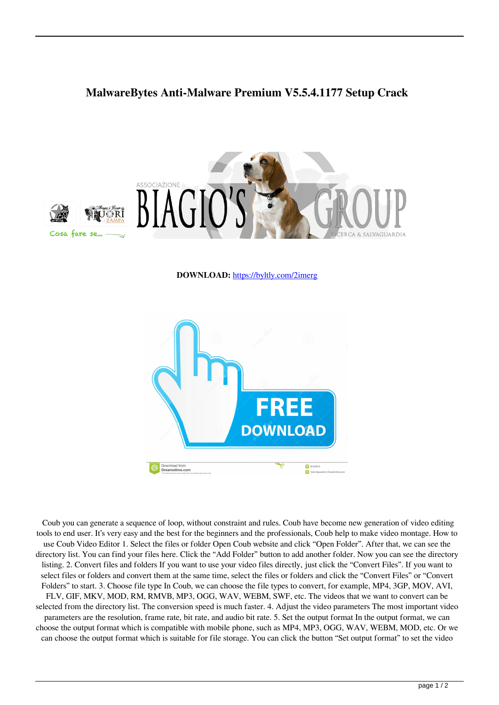## **MalwareBytes Anti-Malware Premium V5.5.4.1177 Setup Crack**



**DOWNLOAD:** <https://byltly.com/2imerg>



 Coub you can generate a sequence of loop, without constraint and rules. Coub have become new generation of video editing tools to end user. It's very easy and the best for the beginners and the professionals, Coub help to make video montage. How to use Coub Video Editor 1. Select the files or folder Open Coub website and click "Open Folder". After that, we can see the directory list. You can find your files here. Click the "Add Folder" button to add another folder. Now you can see the directory listing. 2. Convert files and folders If you want to use your video files directly, just click the "Convert Files". If you want to select files or folders and convert them at the same time, select the files or folders and click the "Convert Files" or "Convert Folders" to start. 3. Choose file type In Coub, we can choose the file types to convert, for example, MP4, 3GP, MOV, AVI, FLV, GIF, MKV, MOD, RM, RMVB, MP3, OGG, WAV, WEBM, SWF, etc. The videos that we want to convert can be selected from the directory list. The conversion speed is much faster. 4. Adjust the video parameters The most important video parameters are the resolution, frame rate, bit rate, and audio bit rate. 5. Set the output format In the output format, we can choose the output format which is compatible with mobile phone, such as MP4, MP3, OGG, WAV, WEBM, MOD, etc. Or we can choose the output format which is suitable for file storage. You can click the button "Set output format" to set the video